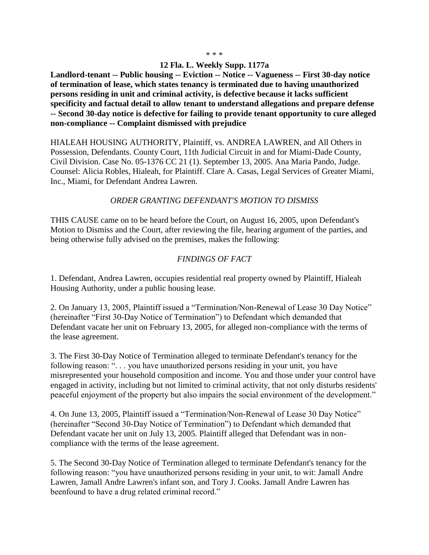#### **12 Fla. L. Weekly Supp. 1177a**

**Landlord-tenant -- Public housing -- Eviction -- Notice -- Vagueness -- First 30-day notice of termination of lease, which states tenancy is terminated due to having unauthorized persons residing in unit and criminal activity, is defective because it lacks sufficient specificity and factual detail to allow tenant to understand allegations and prepare defense -- Second 30-day notice is defective for failing to provide tenant opportunity to cure alleged non-compliance -- Complaint dismissed with prejudice**

HIALEAH HOUSING AUTHORITY, Plaintiff, vs. ANDREA LAWREN, and All Others in Possession, Defendants. County Court, 11th Judicial Circuit in and for Miami-Dade County, Civil Division. Case No. 05-1376 CC 21 (1). September 13, 2005. Ana Maria Pando, Judge. Counsel: Alicia Robles, Hialeah, for Plaintiff. Clare A. Casas, Legal Services of Greater Miami, Inc., Miami, for Defendant Andrea Lawren.

### *ORDER GRANTING DEFENDANT'S MOTION TO DISMISS*

THIS CAUSE came on to be heard before the Court, on August 16, 2005, upon Defendant's Motion to Dismiss and the Court, after reviewing the file, hearing argument of the parties, and being otherwise fully advised on the premises, makes the following:

#### *FINDINGS OF FACT*

1. Defendant, Andrea Lawren, occupies residential real property owned by Plaintiff, Hialeah Housing Authority, under a public housing lease.

2. On January 13, 2005, Plaintiff issued a "Termination/Non-Renewal of Lease 30 Day Notice" (hereinafter "First 30-Day Notice of Termination") to Defendant which demanded that Defendant vacate her unit on February 13, 2005, for alleged non-compliance with the terms of the lease agreement.

3. The First 30-Day Notice of Termination alleged to terminate Defendant's tenancy for the following reason: ". . . you have unauthorized persons residing in your unit, you have misrepresented your household composition and income. You and those under your control have engaged in activity, including but not limited to criminal activity, that not only disturbs residents' peaceful enjoyment of the property but also impairs the social environment of the development."

4. On June 13, 2005, Plaintiff issued a "Termination/Non-Renewal of Lease 30 Day Notice" (hereinafter "Second 30-Day Notice of Termination") to Defendant which demanded that Defendant vacate her unit on July 13, 2005. Plaintiff alleged that Defendant was in noncompliance with the terms of the lease agreement.

5. The Second 30-Day Notice of Termination alleged to terminate Defendant's tenancy for the following reason: "you have unauthorized persons residing in your unit, to wit: Jamall Andre Lawren, Jamall Andre Lawren's infant son, and Tory J. Cooks. Jamall Andre Lawren has beenfound to have a drug related criminal record."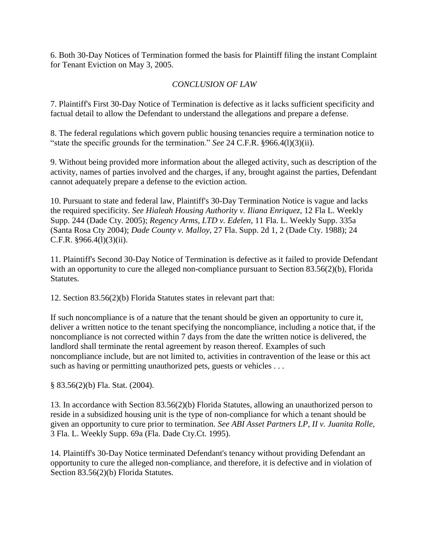6. Both 30-Day Notices of Termination formed the basis for Plaintiff filing the instant Complaint for Tenant Eviction on May 3, 2005.

# *CONCLUSION OF LAW*

7. Plaintiff's First 30-Day Notice of Termination is defective as it lacks sufficient specificity and factual detail to allow the Defendant to understand the allegations and prepare a defense.

8. The federal regulations which govern public housing tenancies require a termination notice to "state the specific grounds for the termination." *See* 24 C.F.R. §966.4(l)(3)(ii).

9. Without being provided more information about the alleged activity, such as description of the activity, names of parties involved and the charges, if any, brought against the parties, Defendant cannot adequately prepare a defense to the eviction action.

10. Pursuant to state and federal law, Plaintiff's 30-Day Termination Notice is vague and lacks the required specificity. *See Hialeah Housing Authority v. Iliana Enriquez*, 12 Fla L. Weekly Supp. 244 (Dade Cty. 2005); *Regency Arms, LTD v. Edelen,* 11 Fla. L. Weekly Supp. 335a (Santa Rosa Cty 2004); *Dade County v. Malloy*, 27 Fla. Supp. 2d 1, 2 (Dade Cty. 1988); 24 C.F.R.  $§966.4(l)(3)(ii)$ .

11. Plaintiff's Second 30-Day Notice of Termination is defective as it failed to provide Defendant with an opportunity to cure the alleged non-compliance pursuant to Section 83.56(2)(b), Florida Statutes.

12. Section 83.56(2)(b) Florida Statutes states in relevant part that:

If such noncompliance is of a nature that the tenant should be given an opportunity to cure it, deliver a written notice to the tenant specifying the noncompliance, including a notice that, if the noncompliance is not corrected within 7 days from the date the written notice is delivered, the landlord shall terminate the rental agreement by reason thereof. Examples of such noncompliance include, but are not limited to, activities in contravention of the lease or this act such as having or permitting unauthorized pets, guests or vehicles ...

§ 83.56(2)(b) Fla. Stat. (2004).

13. In accordance with Section 83.56(2)(b) Florida Statutes, allowing an unauthorized person to reside in a subsidized housing unit is the type of non-compliance for which a tenant should be given an opportunity to cure prior to termination. *See ABI Asset Partners LP*, *II v. Juanita Rolle,*  3 Fla. L. Weekly Supp. 69a (Fla. Dade Cty.Ct. 1995).

14. Plaintiff's 30-Day Notice terminated Defendant's tenancy without providing Defendant an opportunity to cure the alleged non-compliance, and therefore, it is defective and in violation of Section 83.56(2)(b) Florida Statutes.